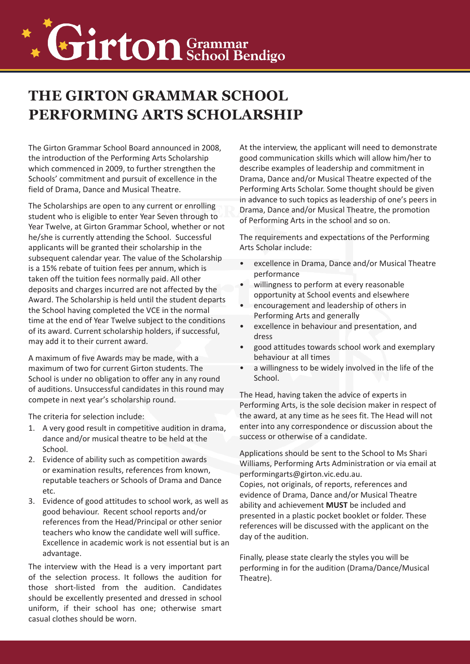### **THE GIRTON GRAMMAR SCHOOL PERFORMING ARTS SCHOLARSHIP**

The Girton Grammar School Board announced in 2008, the introduction of the Performing Arts Scholarship which commenced in 2009, to further strengthen the Schools' commitment and pursuit of excellence in the field of Drama, Dance and Musical Theatre.

The Scholarships are open to any current or enrolling student who is eligible to enter Year Seven through to Year Twelve, at Girton Grammar School, whether or not he/she is currently attending the School. Successful applicants will be granted their scholarship in the subsequent calendar year. The value of the Scholarship is a 15% rebate of tuition fees per annum, which is taken off the tuition fees normally paid. All other deposits and charges incurred are not affected by the Award. The Scholarship is held until the student departs the School having completed the VCE in the normal time at the end of Year Twelve subject to the conditions of its award. Current scholarship holders, if successful, may add it to their current award.

A maximum of five Awards may be made, with a maximum of two for current Girton students. The School is under no obligation to offer any in any round of auditions. Unsuccessful candidates in this round may compete in next year's scholarship round.

The criteria for selection include:

- 1. A very good result in competitive audition in drama, dance and/or musical theatre to be held at the School.
- 2. Evidence of ability such as competition awards or examination results, references from known, reputable teachers or Schools of Drama and Dance etc.
- 3. Evidence of good attitudes to school work, as well as good behaviour. Recent school reports and/or references from the Head/Principal or other senior teachers who know the candidate well will suffice. Excellence in academic work is not essential but is an advantage.

The interview with the Head is a very important part of the selection process. It follows the audition for those short-listed from the audition. Candidates should be excellently presented and dressed in school uniform, if their school has one; otherwise smart casual clothes should be worn.

At the interview, the applicant will need to demonstrate good communication skills which will allow him/her to describe examples of leadership and commitment in Drama, Dance and/or Musical Theatre expected of the Performing Arts Scholar. Some thought should be given in advance to such topics as leadership of one's peers in Drama, Dance and/or Musical Theatre, the promotion of Performing Arts in the school and so on.

The requirements and expectations of the Performing Arts Scholar include:

- excellence in Drama, Dance and/or Musical Theatre performance
- willingness to perform at every reasonable opportunity at School events and elsewhere
- encouragement and leadership of others in Performing Arts and generally
- excellence in behaviour and presentation, and dress
- good attitudes towards school work and exemplary behaviour at all times
- a willingness to be widely involved in the life of the School.

The Head, having taken the advice of experts in Performing Arts, is the sole decision maker in respect of the award, at any time as he sees fit. The Head will not enter into any correspondence or discussion about the success or otherwise of a candidate.

Applications should be sent to the School to Ms Shari Williams, Performing Arts Administration or via email at performingarts@girton.vic.edu.au. Copies, not originals, of reports, references and

evidence of Drama, Dance and/or Musical Theatre ability and achievement **MUST** be included and presented in a plastic pocket booklet or folder. These references will be discussed with the applicant on the day of the audition.

Finally, please state clearly the styles you will be performing in for the audition (Drama/Dance/Musical Theatre).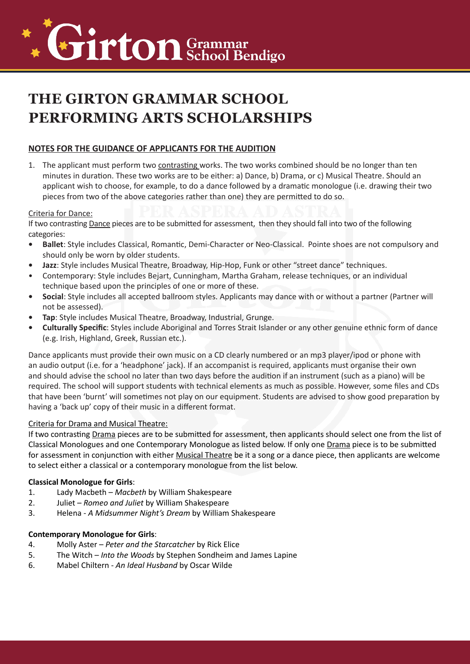

### **THE GIRTON GRAMMAR SCHOOL PERFORMING ARTS SCHOLARSHIPS**

#### **NOTES FOR THE GUIDANCE OF APPLICANTS FOR THE AUDITION**

1. The applicant must perform two contrasting works. The two works combined should be no longer than ten minutes in duration. These two works are to be either: a) Dance, b) Drama, or c) Musical Theatre. Should an applicant wish to choose, for example, to do a dance followed by a dramatic monologue (i.e. drawing their two pieces from two of the above categories rather than one) they are permitted to do so.

#### Criteria for Dance:

If two contrasting Dance pieces are to be submitted for assessment, then they should fall into two of the following categories:

- **• Ballet**: Style includes Classical, Romantic, Demi-Character or Neo-Classical. Pointe shoes are not compulsory and should only be worn by older students.
- **• Jazz**: Style includes Musical Theatre, Broadway, Hip-Hop, Funk or other "street dance" techniques.
- Contemporary: Style includes Bejart, Cunningham, Martha Graham, release techniques, or an individual technique based upon the principles of one or more of these.
- **• Social**: Style includes all accepted ballroom styles. Applicants may dance with or without a partner (Partner will not be assessed).
- **• Tap**: Style includes Musical Theatre, Broadway, Industrial, Grunge.
- **• Culturally Specific**: Styles include Aboriginal and Torres Strait Islander or any other genuine ethnic form of dance (e.g. Irish, Highland, Greek, Russian etc.).

Dance applicants must provide their own music on a CD clearly numbered or an mp3 player/ipod or phone with an audio output (i.e. for a 'headphone' jack). If an accompanist is required, applicants must organise their own and should advise the school no later than two days before the audition if an instrument (such as a piano) will be required. The school will support students with technical elements as much as possible. However, some files and CDs that have been 'burnt' will sometimes not play on our equipment. Students are advised to show good preparation by having a 'back up' copy of their music in a different format.

#### Criteria for Drama and Musical Theatre:

If two contrasting Drama pieces are to be submitted for assessment, then applicants should select one from the list of Classical Monologues and one Contemporary Monologue as listed below. If only one Drama piece is to be submitted for assessment in conjunction with either Musical Theatre be it a song or a dance piece, then applicants are welcome to select either a classical or a contemporary monologue from the list below.

#### **Classical Monologue for Girls**:

- 1. Lady Macbeth *Macbeth* by William Shakespeare
- 2. Juliet *Romeo and Juliet* by William Shakespeare
- 3. Helena *A Midsummer Night's Dream* by William Shakespeare

#### **Contemporary Monologue for Girls**:

- 4. Molly Aster *Peter and the Starcatcher* by Rick Elice
- 5. The Witch *Into the Woods* by Stephen Sondheim and James Lapine
- 6. Mabel Chiltern *An Ideal Husband* by Oscar Wilde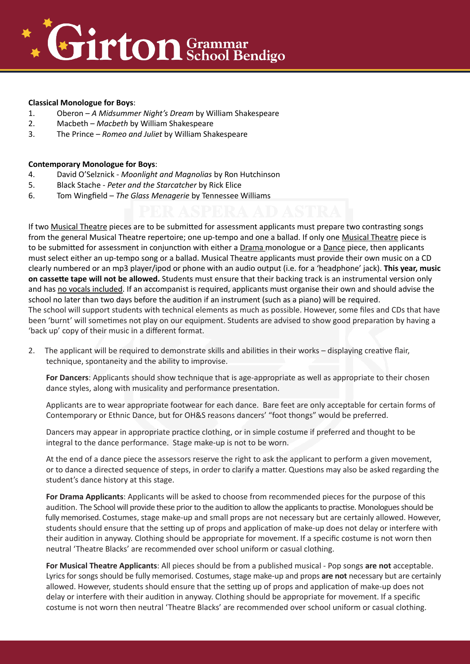

#### **Classical Monologue for Boys**:

- 1. Oberon *A Midsummer Night's Dream* by William Shakespeare
- 2. Macbeth *Macbeth* by William Shakespeare
- 3. The Prince *Romeo and Juliet* by William Shakespeare

#### **Contemporary Monologue for Boys**:

- 4. David O'Selznick *Moonlight and Magnolias* by Ron Hutchinson
- 5. Black Stache *Peter and the Starcatcher* by Rick Elice
- 6. Tom Wingfield *The Glass Menagerie* by Tennessee Williams

If two Musical Theatre pieces are to be submitted for assessment applicants must prepare two contrasting songs from the general Musical Theatre repertoire; one up-tempo and one a ballad. If only one Musical Theatre piece is to be submitted for assessment in conjunction with either a Drama monologue or a Dance piece, then applicants must select either an up-tempo song or a ballad. Musical Theatre applicants must provide their own music on a CD clearly numbered or an mp3 player/ipod or phone with an audio output (i.e. for a 'headphone' jack). **This year, music on cassette tape will not be allowed.** Students must ensure that their backing track is an instrumental version only and has no vocals included. If an accompanist is required, applicants must organise their own and should advise the school no later than two days before the audition if an instrument (such as a piano) will be required. The school will support students with technical elements as much as possible. However, some files and CDs that have been 'burnt' will sometimes not play on our equipment. Students are advised to show good preparation by having a 'back up' copy of their music in a different format.

2. The applicant will be required to demonstrate skills and abilities in their works – displaying creative flair, technique, spontaneity and the ability to improvise.

 **For Dancers**: Applicants should show technique that is age-appropriate as well as appropriate to their chosen dance styles, along with musicality and performance presentation.

 Applicants are to wear appropriate footwear for each dance. Bare feet are only acceptable for certain forms of Contemporary or Ethnic Dance, but for OH&S reasons dancers' "foot thongs" would be preferred.

 Dancers may appear in appropriate practice clothing, or in simple costume if preferred and thought to be integral to the dance performance. Stage make-up is not to be worn.

 At the end of a dance piece the assessors reserve the right to ask the applicant to perform a given movement, or to dance a directed sequence of steps, in order to clarify a matter. Questions may also be asked regarding the student's dance history at this stage.

 **For Drama Applicants**: Applicants will be asked to choose from recommended pieces for the purpose of this audition. The School will provide these prior to the audition to allow the applicants to practise. Monologues should be fully memorised. Costumes, stage make-up and small props are not necessary but are certainly allowed. However, students should ensure that the setting up of props and application of make-up does not delay or interfere with their audition in anyway. Clothing should be appropriate for movement. If a specific costume is not worn then neutral 'Theatre Blacks' are recommended over school uniform or casual clothing.

 **For Musical Theatre Applicants**: All pieces should be from a published musical - Pop songs **are not** acceptable. Lyrics for songs should be fully memorised. Costumes, stage make-up and props **are not** necessary but are certainly allowed. However, students should ensure that the setting up of props and application of make-up does not delay or interfere with their audition in anyway. Clothing should be appropriate for movement. If a specific costume is not worn then neutral 'Theatre Blacks' are recommended over school uniform or casual clothing.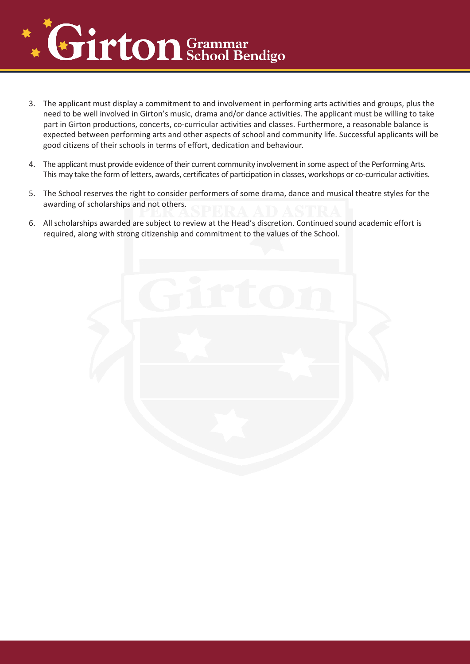

- 3. The applicant must display a commitment to and involvement in performing arts activities and groups, plus the need to be well involved in Girton's music, drama and/or dance activities. The applicant must be willing to take part in Girton productions, concerts, co-curricular activities and classes. Furthermore, a reasonable balance is expected between performing arts and other aspects of school and community life. Successful applicants will be good citizens of their schools in terms of effort, dedication and behaviour.
- 4. The applicant must provide evidence of their current community involvement in some aspect of the Performing Arts. This may take the form of letters, awards, certificates of participation in classes, workshops or co-curricular activities.
- 5. The School reserves the right to consider performers of some drama, dance and musical theatre styles for the awarding of scholarships and not others.
- 6. All scholarships awarded are subject to review at the Head's discretion. Continued sound academic effort is required, along with strong citizenship and commitment to the values of the School.

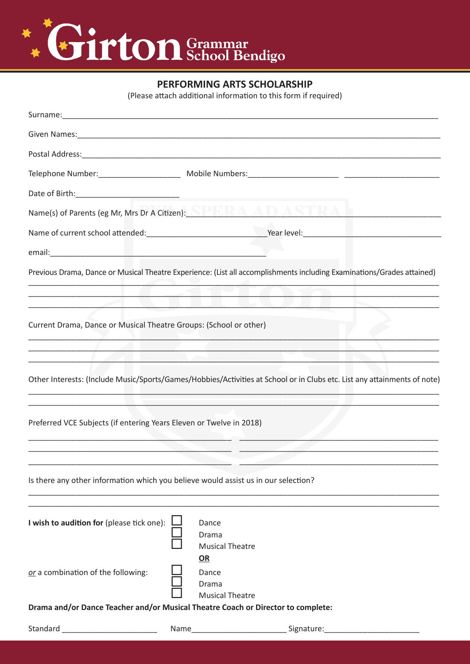

#### PERFORMING ARTS SCHOLARSHIP

(Please attach additional information to this form if required)

|                                                                                                                                                                                                                                                                                                           |  | Name(s) of Parents (eg Mr, Mrs Dr A Citizen): SPERAADASTRA                                                                                                      |
|-----------------------------------------------------------------------------------------------------------------------------------------------------------------------------------------------------------------------------------------------------------------------------------------------------------|--|-----------------------------------------------------------------------------------------------------------------------------------------------------------------|
|                                                                                                                                                                                                                                                                                                           |  |                                                                                                                                                                 |
|                                                                                                                                                                                                                                                                                                           |  |                                                                                                                                                                 |
| Previous Drama, Dance or Musical Theatre Experience: (List all accomplishments including Examinations/Grades attained)                                                                                                                                                                                    |  |                                                                                                                                                                 |
|                                                                                                                                                                                                                                                                                                           |  | <u> 1980 - Jan James James James James James James James James James James James James James James James James J</u><br><u> 4 de estado en Santo XXVIII de </u> |
| Current Drama, Dance or Musical Theatre Groups: (School or other)<br><u> 1980 - An Dùbhlachd ann an Dùbhlachd ann an Dùbhlachd ann an Dùbhlachd ann an Dùbhlachd ann an Dùbhlachd ann an Dùbhlachd ann an Dùbhlachd ann an Dùbhlachd ann an Dùbhlachd ann an Dùbhlachd ann an Dùbhlachd ann an Dùbhla</u> |  |                                                                                                                                                                 |
| Other Interests: (Include Music/Sports/Games/Hobbies/Activities at School or in Clubs etc. List any attainments of note)                                                                                                                                                                                  |  |                                                                                                                                                                 |
| Preferred VCE Subjects (if entering Years Eleven or Twelve in 2018)                                                                                                                                                                                                                                       |  |                                                                                                                                                                 |
| Is there any other information which you believe would assist us in our selection?                                                                                                                                                                                                                        |  |                                                                                                                                                                 |
| I wish to audition for (please tick one): $\mathsf L$                                                                                                                                                                                                                                                     |  | Dance<br>Drama<br><b>Musical Theatre</b><br>OR                                                                                                                  |
| or a combination of the following:                                                                                                                                                                                                                                                                        |  | Dance<br>Drama<br><b>Musical Theatre</b>                                                                                                                        |
| Drama and/or Dance Teacher and/or Musical Theatre Coach or Director to complete:                                                                                                                                                                                                                          |  |                                                                                                                                                                 |
|                                                                                                                                                                                                                                                                                                           |  |                                                                                                                                                                 |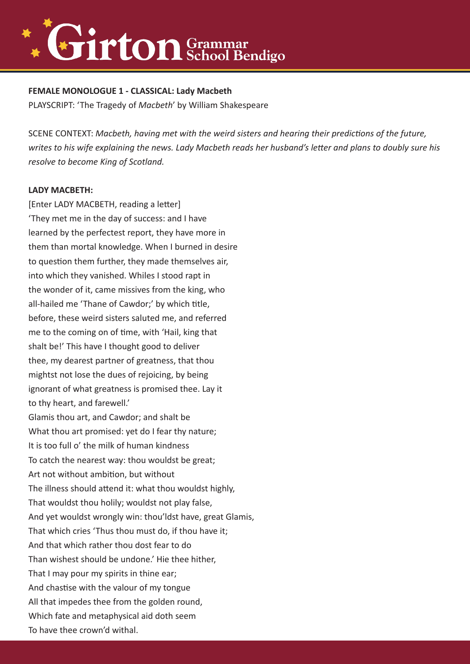#### **FEMALE MONOLOGUE 1 - CLASSICAL: Lady Macbeth**

PLAYSCRIPT: 'The Tragedy of *Macbeth*' by William Shakespeare

SCENE CONTEXT: *Macbeth, having met with the weird sisters and hearing their predictions of the future, writes to his wife explaining the news. Lady Macbeth reads her husband's letter and plans to doubly sure his resolve to become King of Scotland.*

#### **LADY MACBETH:**

[Enter LADY MACBETH, reading a letter] 'They met me in the day of success: and I have learned by the perfectest report, they have more in them than mortal knowledge. When I burned in desire to question them further, they made themselves air, into which they vanished. Whiles I stood rapt in the wonder of it, came missives from the king, who all-hailed me 'Thane of Cawdor;' by which title, before, these weird sisters saluted me, and referred me to the coming on of time, with 'Hail, king that shalt be!' This have I thought good to deliver thee, my dearest partner of greatness, that thou mightst not lose the dues of rejoicing, by being ignorant of what greatness is promised thee. Lay it to thy heart, and farewell.' Glamis thou art, and Cawdor; and shalt be What thou art promised: yet do I fear thy nature; It is too full o' the milk of human kindness To catch the nearest way: thou wouldst be great; Art not without ambition, but without The illness should attend it: what thou wouldst highly, That wouldst thou holily; wouldst not play false, And yet wouldst wrongly win: thou'ldst have, great Glamis, That which cries 'Thus thou must do, if thou have it; And that which rather thou dost fear to do Than wishest should be undone.' Hie thee hither, That I may pour my spirits in thine ear; And chastise with the valour of my tongue All that impedes thee from the golden round, Which fate and metaphysical aid doth seem To have thee crown'd withal.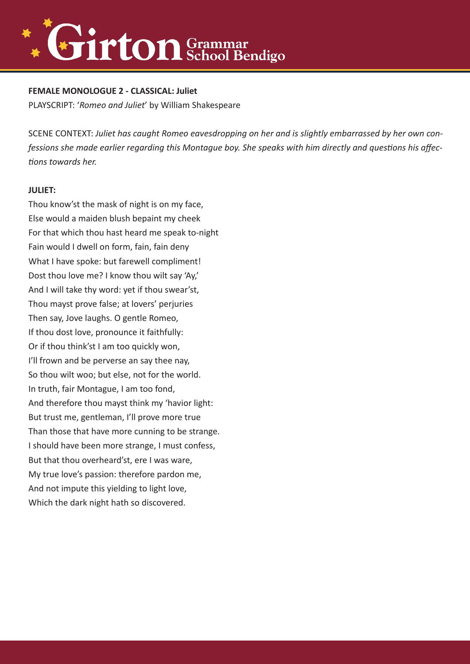#### **FEMALE MONOLOGUE 2 - CLASSICAL: Juliet**

PLAYSCRIPT: '*Romeo and Juliet*' by William Shakespeare

SCENE CONTEXT: *Juliet has caught Romeo eavesdropping on her and is slightly embarrassed by her own confessions she made earlier regarding this Montague boy. She speaks with him directly and questions his affections towards her.*

#### **JULIET:**

Thou know'st the mask of night is on my face, Else would a maiden blush bepaint my cheek For that which thou hast heard me speak to-night Fain would I dwell on form, fain, fain deny What I have spoke: but farewell compliment! Dost thou love me? I know thou wilt say 'Ay,' And I will take thy word: yet if thou swear'st, Thou mayst prove false; at lovers' perjuries Then say, Jove laughs. O gentle Romeo, If thou dost love, pronounce it faithfully: Or if thou think'st I am too quickly won, I'll frown and be perverse an say thee nay, So thou wilt woo; but else, not for the world. In truth, fair Montague, I am too fond, And therefore thou mayst think my 'havior light: But trust me, gentleman, I'll prove more true Than those that have more cunning to be strange. I should have been more strange, I must confess, But that thou overheard'st, ere I was ware, My true love's passion: therefore pardon me, And not impute this yielding to light love, Which the dark night hath so discovered.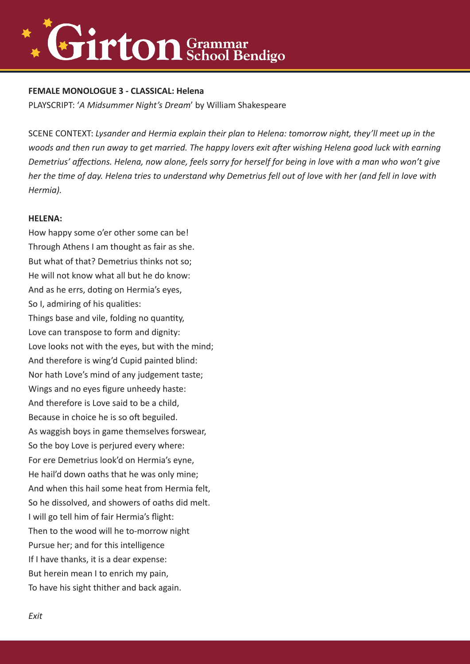#### **FEMALE MONOLOGUE 3 - CLASSICAL: Helena**

PLAYSCRIPT: '*A Midsummer Night's Dream*' by William Shakespeare

SCENE CONTEXT: *Lysander and Hermia explain their plan to Helena: tomorrow night, they'll meet up in the woods and then run away to get married. The happy lovers exit after wishing Helena good luck with earning Demetrius' affections. Helena, now alone, feels sorry for herself for being in love with a man who won't give her the time of day. Helena tries to understand why Demetrius fell out of love with her (and fell in love with Hermia).* 

#### **HELENA:**

How happy some o'er other some can be! Through Athens I am thought as fair as she. But what of that? Demetrius thinks not so; He will not know what all but he do know: And as he errs, doting on Hermia's eyes, So I, admiring of his qualities: Things base and vile, folding no quantity, Love can transpose to form and dignity: Love looks not with the eyes, but with the mind; And therefore is wing'd Cupid painted blind: Nor hath Love's mind of any judgement taste; Wings and no eyes figure unheedy haste: And therefore is Love said to be a child, Because in choice he is so oft beguiled. As waggish boys in game themselves forswear, So the boy Love is perjured every where: For ere Demetrius look'd on Hermia's eyne, He hail'd down oaths that he was only mine; And when this hail some heat from Hermia felt, So he dissolved, and showers of oaths did melt. I will go tell him of fair Hermia's flight: Then to the wood will he to-morrow night Pursue her; and for this intelligence If I have thanks, it is a dear expense: But herein mean I to enrich my pain, To have his sight thither and back again.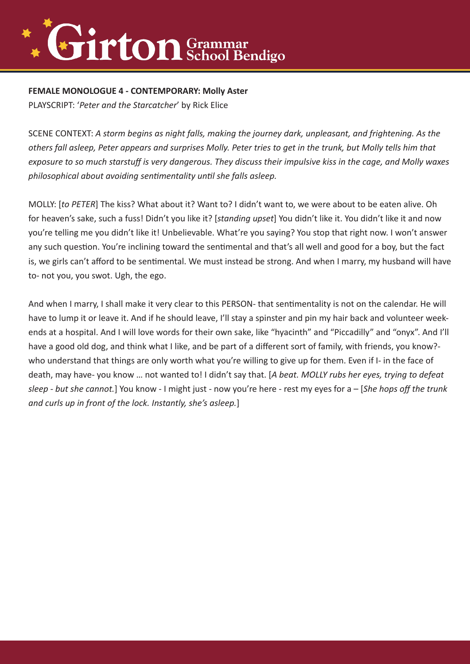#### **FEMALE MONOLOGUE 4 - CONTEMPORARY: Molly Aster**

PLAYSCRIPT: '*Peter and the Starcatcher*' by Rick Elice

SCENE CONTEXT: *A storm begins as night falls, making the journey dark, unpleasant, and frightening. As the others fall asleep, Peter appears and surprises Molly. Peter tries to get in the trunk, but Molly tells him that exposure to so much starstuff is very dangerous. They discuss their impulsive kiss in the cage, and Molly waxes philosophical about avoiding sentimentality until she falls asleep.*

MOLLY: [*to PETER*] The kiss? What about it? Want to? I didn't want to, we were about to be eaten alive. Oh for heaven's sake, such a fuss! Didn't you like it? [*standing upset*] You didn't like it. You didn't like it and now you're telling me you didn't like it! Unbelievable. What're you saying? You stop that right now. I won't answer any such question. You're inclining toward the sentimental and that's all well and good for a boy, but the fact is, we girls can't afford to be sentimental. We must instead be strong. And when I marry, my husband will have to- not you, you swot. Ugh, the ego.

And when I marry, I shall make it very clear to this PERSON- that sentimentality is not on the calendar. He will have to lump it or leave it. And if he should leave, I'll stay a spinster and pin my hair back and volunteer weekends at a hospital. And I will love words for their own sake, like "hyacinth" and "Piccadilly" and "onyx". And I'll have a good old dog, and think what I like, and be part of a different sort of family, with friends, you know? who understand that things are only worth what you're willing to give up for them. Even if I- in the face of death, may have- you know … not wanted to! I didn't say that. [*A beat. MOLLY rubs her eyes, trying to defeat sleep - but she cannot.*] You know - I might just - now you're here - rest my eyes for a – [*She hops off the trunk and curls up in front of the lock. Instantly, she's asleep.*]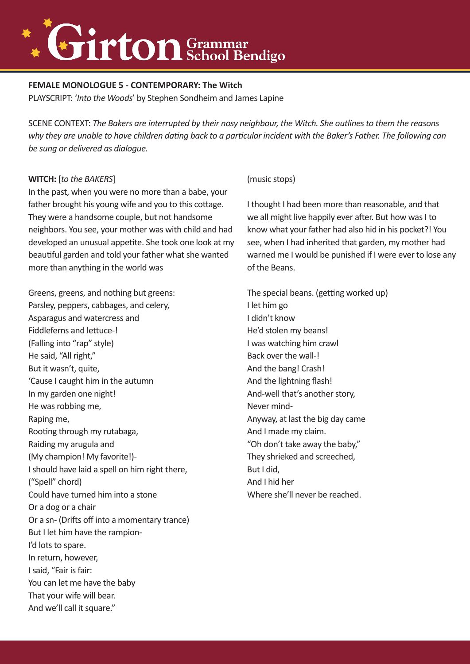#### **FEMALE MONOLOGUE 5 - CONTEMPORARY: The Witch**

PLAYSCRIPT: '*Into the Woods*' by Stephen Sondheim and James Lapine

SCENE CONTEXT: *The Bakers are interrupted by their nosy neighbour, the Witch. She outlines to them the reasons why they are unable to have children dating back to a particular incident with the Baker's Father. The following can be sung or delivered as dialogue.*

#### **WITCH:** [*to the BAKERS*]

In the past, when you were no more than a babe, your father brought his young wife and you to this cottage. They were a handsome couple, but not handsome neighbors. You see, your mother was with child and had developed an unusual appetite. She took one look at my beautiful garden and told your father what she wanted more than anything in the world was

Greens, greens, and nothing but greens: Parsley, peppers, cabbages, and celery, Asparagus and watercress and Fiddleferns and lettuce-! (Falling into "rap" style) He said, "All right," But it wasn't, quite, 'Cause I caught him in the autumn In my garden one night! He was robbing me, Raping me, Rooting through my rutabaga, Raiding my arugula and (My champion! My favorite!)- I should have laid a spell on him right there, ("Spell" chord) Could have turned him into a stone Or a dog or a chair Or a sn- (Drifts off into a momentary trance) But I let him have the rampion-I'd lots to spare. In return, however, I said, "Fair is fair: You can let me have the baby That your wife will bear. And we'll call it square."

#### (music stops)

I thought I had been more than reasonable, and that we all might live happily ever after. But how was I to know what your father had also hid in his pocket?! You see, when I had inherited that garden, my mother had warned me I would be punished if I were ever to lose any of the Beans.

The special beans. (getting worked up) I let him go I didn't know He'd stolen my beans! I was watching him crawl Back over the wall-! And the bang! Crash! And the lightning flash! And-well that's another story, Never mind-Anyway, at last the big day came And I made my claim. "Oh don't take away the baby," They shrieked and screeched, But I did, And I hid her Where she'll never be reached.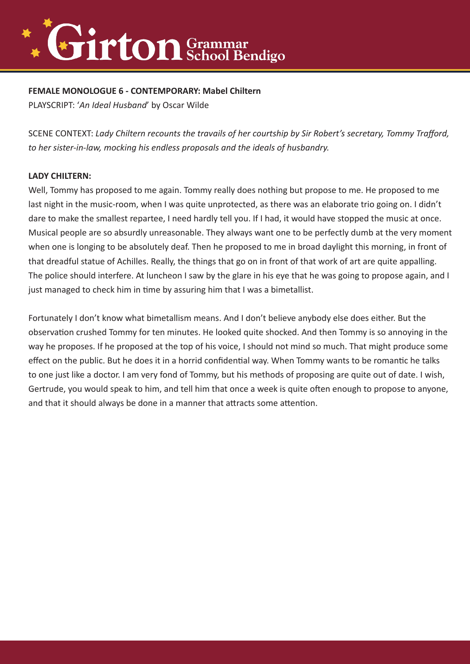#### **FEMALE MONOLOGUE 6 - CONTEMPORARY: Mabel Chiltern**

PLAYSCRIPT: '*An Ideal Husband*' by Oscar Wilde

SCENE CONTEXT: *Lady Chiltern recounts the travails of her courtship by Sir Robert's secretary, Tommy Trafford, to her sister-in-law, mocking his endless proposals and the ideals of husbandry.*

#### **LADY CHILTERN:**

Well, Tommy has proposed to me again. Tommy really does nothing but propose to me. He proposed to me last night in the music-room, when I was quite unprotected, as there was an elaborate trio going on. I didn't dare to make the smallest repartee, I need hardly tell you. If I had, it would have stopped the music at once. Musical people are so absurdly unreasonable. They always want one to be perfectly dumb at the very moment when one is longing to be absolutely deaf. Then he proposed to me in broad daylight this morning, in front of that dreadful statue of Achilles. Really, the things that go on in front of that work of art are quite appalling. The police should interfere. At luncheon I saw by the glare in his eye that he was going to propose again, and I just managed to check him in time by assuring him that I was a bimetallist.

Fortunately I don't know what bimetallism means. And I don't believe anybody else does either. But the observation crushed Tommy for ten minutes. He looked quite shocked. And then Tommy is so annoying in the way he proposes. If he proposed at the top of his voice, I should not mind so much. That might produce some effect on the public. But he does it in a horrid confidential way. When Tommy wants to be romantic he talks to one just like a doctor. I am very fond of Tommy, but his methods of proposing are quite out of date. I wish, Gertrude, you would speak to him, and tell him that once a week is quite often enough to propose to anyone, and that it should always be done in a manner that attracts some attention.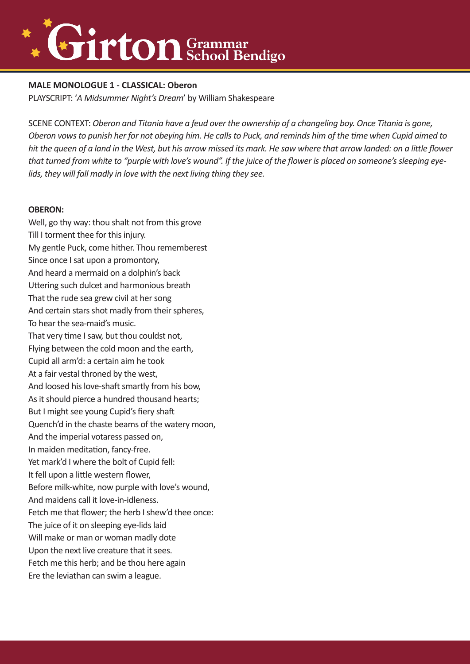

#### **MALE MONOLOGUE 1 - CLASSICAL: Oberon**

PLAYSCRIPT: '*A Midsummer Night's Dream*' by William Shakespeare

SCENE CONTEXT: *Oberon and Titania have a feud over the ownership of a changeling boy. Once Titania is gone, Oberon vows to punish her for not obeying him. He calls to Puck, and reminds him of the time when Cupid aimed to hit the queen of a land in the West, but his arrow missed its mark. He saw where that arrow landed: on a little flower that turned from white to "purple with love's wound". If the juice of the flower is placed on someone's sleeping eyelids, they will fall madly in love with the next living thing they see.*

#### **OBERON:**

Well, go thy way: thou shalt not from this grove Till I torment thee for this injury. My gentle Puck, come hither. Thou rememberest Since once I sat upon a promontory, And heard a mermaid on a dolphin's back Uttering such dulcet and harmonious breath That the rude sea grew civil at her song And certain stars shot madly from their spheres, To hear the sea-maid's music. That very time I saw, but thou couldst not, Flying between the cold moon and the earth, Cupid all arm'd: a certain aim he took At a fair vestal throned by the west, And loosed his love-shaft smartly from his bow, As it should pierce a hundred thousand hearts; But I might see young Cupid's fiery shaft Quench'd in the chaste beams of the watery moon, And the imperial votaress passed on, In maiden meditation, fancy-free. Yet mark'd I where the bolt of Cupid fell: It fell upon a little western flower, Before milk-white, now purple with love's wound, And maidens call it love-in-idleness. Fetch me that flower; the herb I shew'd thee once: The juice of it on sleeping eye-lids laid Will make or man or woman madly dote Upon the next live creature that it sees. Fetch me this herb; and be thou here again Ere the leviathan can swim a league.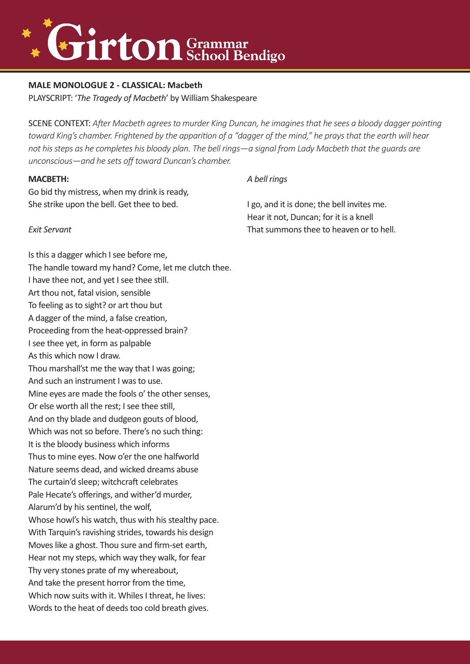#### **MALE MONOLOGUE 2 - CLASSICAL: Macbeth**

PLAYSCRIPT: '*The Tragedy of Macbeth*' by William Shakespeare

SCENE CONTEXT: *After Macbeth agrees to murder King Duncan, he imagines that he sees a bloody dagger pointing toward King's chamber. Frightened by the apparition of a "dagger of the mind," he prays that the earth will hear not his steps as he completes his bloody plan. The bell rings—a signal from Lady Macbeth that the guards are unconscious—and he sets off toward Duncan's chamber.*

#### **MACBETH:**

Go bid thy mistress, when my drink is ready, She strike upon the bell. Get thee to bed.

#### *Exit Servant*

Is this a dagger which I see before me, The handle toward my hand? Come, let me clutch thee. I have thee not, and yet I see thee still. Art thou not, fatal vision, sensible To feeling as to sight? or art thou but A dagger of the mind, a false creation, Proceeding from the heat-oppressed brain? I see thee yet, in form as palpable As this which now I draw. Thou marshall'st me the way that I was going; And such an instrument I was to use. Mine eyes are made the fools o' the other senses, Or else worth all the rest; I see thee still, And on thy blade and dudgeon gouts of blood, Which was not so before. There's no such thing: It is the bloody business which informs Thus to mine eyes. Now o'er the one halfworld Nature seems dead, and wicked dreams abuse The curtain'd sleep; witchcraft celebrates Pale Hecate's offerings, and wither'd murder, Alarum'd by his sentinel, the wolf, Whose howl's his watch, thus with his stealthy pace. With Tarquin's ravishing strides, towards his design Moves like a ghost. Thou sure and firm-set earth, Hear not my steps, which way they walk, for fear Thy very stones prate of my whereabout, And take the present horror from the time, Which now suits with it. Whiles I threat, he lives: Words to the heat of deeds too cold breath gives.

*A bell rings*

I go, and it is done; the bell invites me. Hear it not, Duncan; for it is a knell That summons thee to heaven or to hell.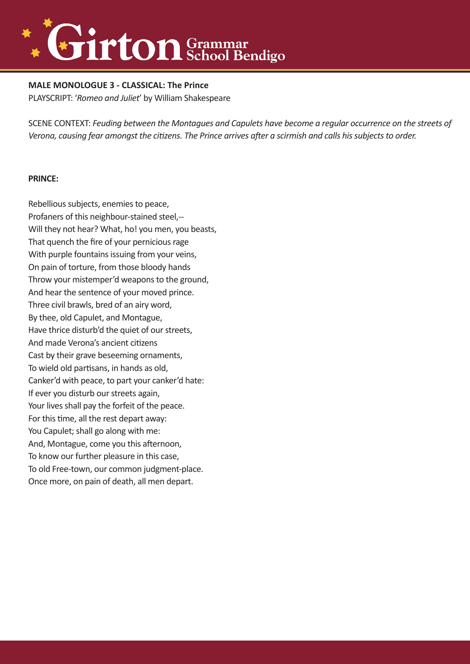#### **MALE MONOLOGUE 3 - CLASSICAL: The Prince**

PLAYSCRIPT: '*Romeo and Juliet*' by William Shakespeare

SCENE CONTEXT: *Feuding between the Montagues and Capulets have become a regular occurrence on the streets of Verona, causing fear amongst the citizens. The Prince arrives after a scirmish and calls his subjects to order.* 

#### **PRINCE:**

Rebellious subjects, enemies to peace, Profaners of this neighbour-stained steel,-- Will they not hear? What, ho! you men, you beasts, That quench the fire of your pernicious rage With purple fountains issuing from your veins, On pain of torture, from those bloody hands Throw your mistemper'd weapons to the ground, And hear the sentence of your moved prince. Three civil brawls, bred of an airy word, By thee, old Capulet, and Montague, Have thrice disturb'd the quiet of our streets, And made Verona's ancient citizens Cast by their grave beseeming ornaments, To wield old partisans, in hands as old, Canker'd with peace, to part your canker'd hate: If ever you disturb our streets again, Your lives shall pay the forfeit of the peace. For this time, all the rest depart away: You Capulet; shall go along with me: And, Montague, come you this afternoon, To know our further pleasure in this case, To old Free-town, our common judgment-place. Once more, on pain of death, all men depart.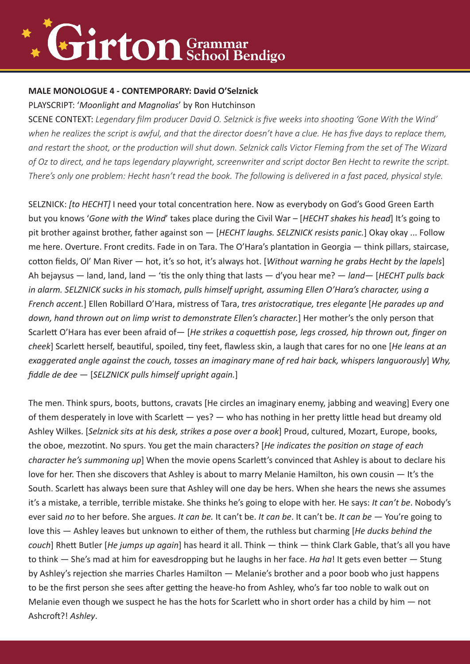# <del>I</del> Girton School Bendigo

#### **MALE MONOLOGUE 4 - CONTEMPORARY: David O'Selznick**

#### PLAYSCRIPT: '*Moonlight and Magnolias*' by Ron Hutchinson

SCENE CONTEXT: *Legendary film producer David O. Selznick is five weeks into shooting 'Gone With the Wind'*  when he realizes the script is awful, and that the director doesn't have a clue. He has five days to replace them, *and restart the shoot, or the production will shut down. Selznick calls Victor Fleming from the set of The Wizard of Oz to direct, and he taps legendary playwright, screenwriter and script doctor Ben Hecht to rewrite the script. There's only one problem: Hecht hasn't read the book. The following is delivered in a fast paced, physical style.*

SELZNICK: *[to HECHT]* I need your total concentration here. Now as everybody on God's Good Green Earth but you knows '*Gone with the Wind*' takes place during the Civil War – [*HECHT shakes his head*] It's going to pit brother against brother, father against son — [*HECHT laughs. SELZNICK resists panic.*] Okay okay ... Follow me here. Overture. Front credits. Fade in on Tara. The O'Hara's plantation in Georgia — think pillars, staircase, cotton fields, Ol' Man River — hot, it's so hot, it's always hot. [*Without warning he grabs Hecht by the lapels*] Ah bejaysus — land, land, land — 'tis the only thing that lasts — d'you hear me? — *land*— [*HECHT pulls back in alarm. SELZNICK sucks in his stomach, pulls himself upright, assuming Ellen O'Hara's character, using a French accent.*] Ellen Robillard O'Hara, mistress of Tara, *tres aristocratique, tres elegante* [*He parades up and down, hand thrown out on limp wrist to demonstrate Ellen's character.*] Her mother's the only person that Scarlett O'Hara has ever been afraid of— [*He strikes a coquettish pose, legs crossed, hip thrown out, finger on cheek*] Scarlett herself, beautiful, spoiled, tiny feet, flawless skin, a laugh that cares for no one [*He leans at an exaggerated angle against the couch, tosses an imaginary mane of red hair back, whispers languorously*] *Why, fiddle de dee* — [*SELZNICK pulls himself upright again.*]

The men. Think spurs, boots, buttons, cravats [He circles an imaginary enemy, jabbing and weaving] Every one of them desperately in love with Scarlett — yes? — who has nothing in her pretty little head but dreamy old Ashley Wilkes. [*Selznick sits at his desk, strikes a pose over a book*] Proud, cultured, Mozart, Europe, books, the oboe, mezzotint. No spurs. You get the main characters? [*He indicates the position on stage of each character he's summoning up*] When the movie opens Scarlett's convinced that Ashley is about to declare his love for her. Then she discovers that Ashley is about to marry Melanie Hamilton, his own cousin — It's the South. Scarlett has always been sure that Ashley will one day be hers. When she hears the news she assumes it's a mistake, a terrible, terrible mistake. She thinks he's going to elope with her. He says: *It can't be*. Nobody's ever said *no* to her before. She argues. *It can be.* It can't be. *It can be*. It can't be. *It can be* — You're going to love this — Ashley leaves but unknown to either of them, the ruthless but charming [*He ducks behind the couch*] Rhett Butler [*He jumps up again*] has heard it all. Think — think — think Clark Gable, that's all you have to think — She's mad at him for eavesdropping but he laughs in her face. *Ha ha*! It gets even better — Stung by Ashley's rejection she marries Charles Hamilton — Melanie's brother and a poor boob who just happens to be the first person she sees after getting the heave-ho from Ashley, who's far too noble to walk out on Melanie even though we suspect he has the hots for Scarlett who in short order has a child by him — not Ashcroft?! *Ashley*.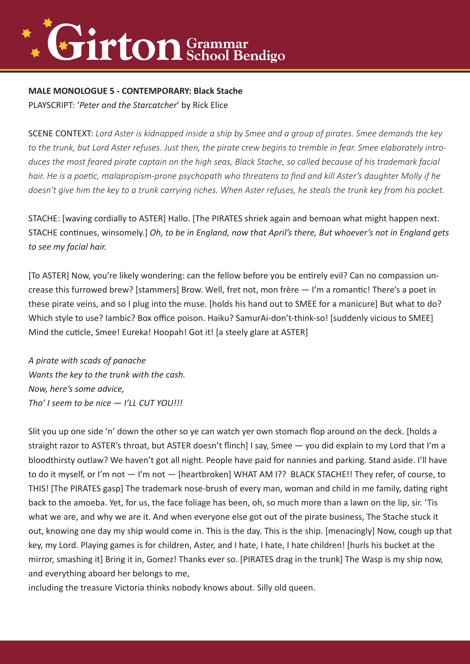#### **MALE MONOLOGUE 5 - CONTEMPORARY: Black Stache**

PLAYSCRIPT: '*Peter and the Starcatcher*' by Rick Elice

SCENE CONTEXT: *Lord Aster is kidnapped inside a ship by Smee and a group of pirates. Smee demands the key to the trunk, but Lord Aster refuses. Just then, the pirate crew begins to tremble in fear. Smee elaborately introduces the most feared pirate captain on the high seas, Black Stache, so called because of his trademark facial hair. He is a poetic, malapropism-prone psychopath who threatens to find and kill Aster's daughter Molly if he doesn't give him the key to a trunk carrying riches. When Aster refuses, he steals the trunk key from his pocket.*

STACHE: [waving cordially to ASTER] Hallo. [The PIRATES shriek again and bemoan what might happen next. STACHE continues, winsomely.] *Oh, to be in England, now that April's there, But whoever's not in England gets to see my facial hair.*

[To ASTER] Now, you're likely wondering: can the fellow before you be entirely evil? Can no compassion uncrease this furrowed brew? [stammers] Brow. Well, fret not, mon frère — I'm a romantic! There's a poet in these pirate veins, and so I plug into the muse. [holds his hand out to SMEE for a manicure] But what to do? Which style to use? Iambic? Box office poison. Haiku? SamurAi-don't-think-so! [suddenly vicious to SMEE] Mind the cuticle, Smee! Eureka! Hoopah! Got it! [a steely glare at ASTER]

*A pirate with scads of panache Wants the key to the trunk with the cash. Now, here's some advice, Tho' I seem to be nice — I'LL CUT YOU!!!* 

Slit you up one side 'n' down the other so ye can watch yer own stomach flop around on the deck. [holds a straight razor to ASTER's throat, but ASTER doesn't flinch] I say, Smee — you did explain to my Lord that I'm a bloodthirsty outlaw? We haven't got all night. People have paid for nannies and parking. Stand aside. I'll have to do it myself, or I'm not — I'm not — [heartbroken] WHAT AM I?? BLACK STACHE!! They refer, of course, to THIS! [The PIRATES gasp] The trademark nose-brush of every man, woman and child in me family, dating right back to the amoeba. Yet, for us, the face foliage has been, oh, so much more than a lawn on the lip, sir. 'Tis what we are, and why we are it. And when everyone else got out of the pirate business, The Stache stuck it out, knowing one day my ship would come in. This is the day. This is the ship. [menacingly] Now, cough up that key, my Lord. Playing games is for children, Aster, and I hate, I hate, I hate children! [hurls his bucket at the mirror, smashing it] Bring it in, Gomez! Thanks ever so. [PIRATES drag in the trunk] The Wasp is my ship now, and everything aboard her belongs to me,

including the treasure Victoria thinks nobody knows about. Silly old queen.